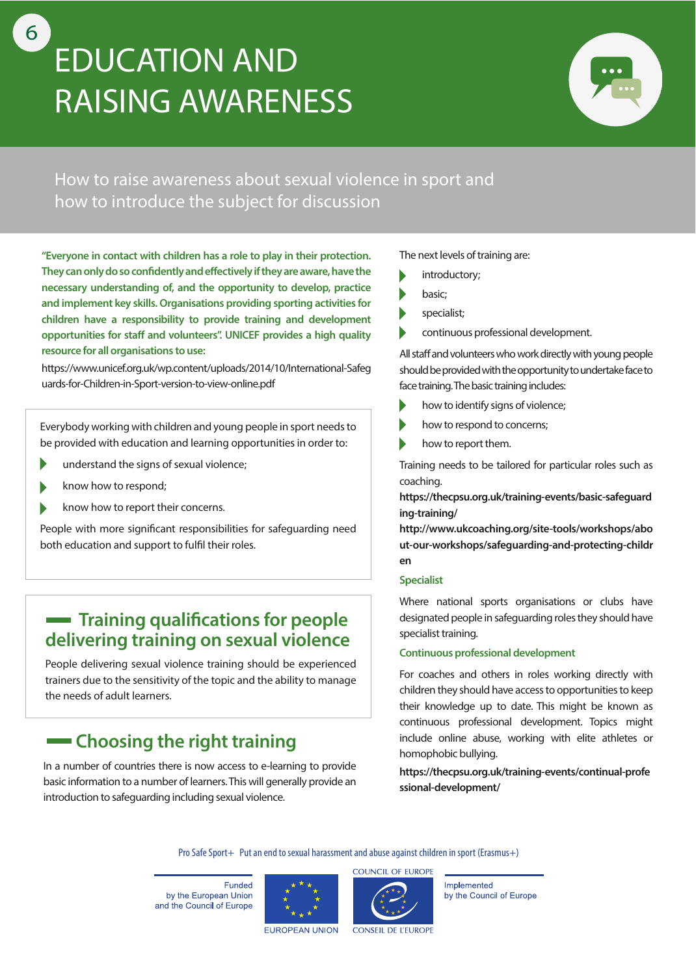# **EDUCATION AND RAISING AWARENESS**



How to raise awareness about sexual violence in sport and how to introduce the subject for discussion

**"Everyone in contact with children has a role to play in their protection.**  They can only do so confidently and effectively if they are aware, have the **necessary understanding of, and the opportunity to develop, practice and implement key skills. Organisations providing sporting activities for children have a responsibility to provide training and development**  opportunities for staff and volunteers". UNICEF provides a high quality **resource for all organisations to use:**

[https://www.unicef.org.uk/wp.content/uploads/2014/10/International-Safeg](https://www.unicef.org.uk/wp.content/uploads/2014/10/International-Safeguards-for-Children-in-Sport-version-to-view-online.pdf) uards-for-Children-in-Sport-version-to-view-online.pdf

Everybody working with children and young people in sport needs to be provided with education and learning opportunities in order to:

- understand the signs of sexual violence;
- know how to respond;
- know how to report their concerns.

People with more significant responsibilities for safeguarding need both education and support to fulfil their roles.

#### **- Training qualifications for people delivering training on sexual violence**

People delivering sexual violence training should be experienced trainers due to the sensitivity of the topic and the ability to manage the needs of adult learners.

## **Choosing the right training**

In a number of countries there is now access to e-learning to provide basic information to a number of learners. This will generally provide an introduction to safeguarding including sexual violence.

The next levels of training are:

- introductory;
- basic;
- specialist;
- continuous professional development.

All staff and volunteers who work directly with young people should be provided with the opportunity to undertake face to face training. The basic training includes:

- how to identify signs of violence;
- how to respond to concerns;
- how to report them.

Training needs to be tailored for particular roles such as coaching.

**[https://thecpsu.org.uk/training-events/basic-safeguard](https://thecpsu.org.uk/training-events/basic-safeguarding-training/) ing-training/**

**http://www.ukcoaching.org/site-tools/workshops/abo [ut-our-workshops/safeguarding-and-protecting-childr](http://www.ukcoaching.org/site-tools/workshops/about-our-workshops/safeguarding-and-protecting-children) en**

#### **Specialist**

Where national sports organisations or clubs have designated people in safeguarding roles they should have specialist training.

#### **Continuous professional development**

For coaches and others in roles working directly with children they should have access to opportunities to keep their knowledge up to date. This might be known as continuous professional development. Topics might include online abuse, working with elite athletes or homophobic bullying.

**[https://thecpsu.org.uk/training-events/continual-profe](https://thecpsu.org.uk/training-events/continual-professional-development/) ssional-development/**

Pro Safe Sport+ Put an end to sexual harassment and abuse against children in sport (Erasmus+)

Eunded by the European Union and the Council of Europe





Implemented by the Council of Europe

**EUROPEAN UNION** 

**CONSEIL DE L'EUROPE** 

6